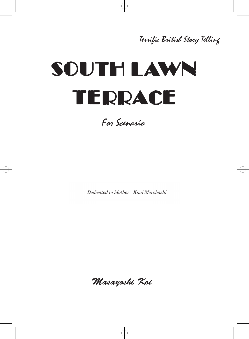## Terrific British Story Telling

# SOUTH LAWN TERRACE

For Scenario

Dedicated to Mother - Kimi Morohashi

Masayoshi Koi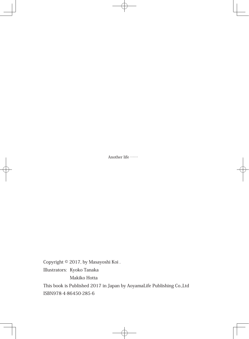Another life ……

Copyright © 2017, by Masayoshi Koi . Illustrators: Kyoko Tanaka

Makiko Hotta

This book is Published 2017 in Japan by AoyamaLife Publishing Co.,Ltd ISBN978-4-86450-285-6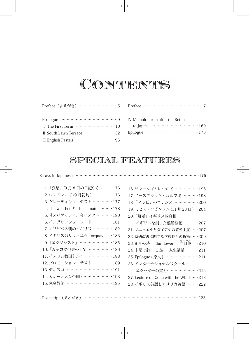# CONTENTS

| Preface (まえがき)………………………… 5                                                                  |  |
|---------------------------------------------------------------------------------------------|--|
|                                                                                             |  |
| I The First Term $\cdots$ $\cdots$ $\cdots$ $\cdots$ $\cdots$ $\cdots$ $\cdots$ $\cdots$ 10 |  |
|                                                                                             |  |
| <b>III</b> English Pastels                                                                  |  |

| IV Memoirs from after the Return |
|----------------------------------|
| to Japan ………………………………… 169       |
|                                  |

### SPECIAL FEATURES

#### Essays in Japanese ……………………………………………………………………………………175

| 1. 「哀愁」(9月8日の日記から) ……176                    |
|---------------------------------------------|
| 2. ロンドンにて (9月初旬) …………… 176                  |
| 3. グレーディング・テスト …………… 177                    |
| 4. The weather $\angle$ The climate ……… 178 |
| 5. 昔スパゲッティ、今パスタ ………… 180                    |
| 6. イングリッシュ・フード …………… 181                    |
| 7. エリザベス朝のイギリス …………… 182                    |
| 8. イギリスのリヴィエラ Torquay …183                  |
| 9. 「エクソシスト」……………………… 185                    |
| 10. 「カッコウの巣の上で」……………… 186                   |
| 11. イスラム教国トルコ ………………… 188                   |
| 12. プロモーション・テスト …………… 189                   |
| 13. ディスコ ……………………………… 191                   |
| 14. カレーと大英帝国 …………………… 193                   |
| 15. 家庭教師 ……………………………… 195                   |
|                                             |

| 16. サマータイムについて ……………… 196              |
|----------------------------------------|
| 17. ノースブルック・ゴルフ場 ………… 198              |
| 18. 「アラビアのロレンス」……………… 200              |
| 19. ミセス・ロビンソン (11月23日)…204             |
| 20. 「離婚」イギリス的真相 :                      |
| イギリスを創った離婚騒動 ………207                    |
| 21. マニュエルとダイアナの置き土産……207               |
| 22. 待遇改善に関する学校長との折衝……209               |
| 23.8月の詩 — Sunflower — 向日葵 …210         |
| 24. 末尾の詩 – Life – 人生講話 ………211          |
| 25. Epilogue (原文) …………………… 211         |
| 26. インターナショナルスクール・                     |
| エクセターの実力…………………… 212                   |
| 27. Lecture on Gone with the Wind  213 |
| 28. イギリス英語とアメリカ英語 ……… 222              |
|                                        |

| Postscript (あとがき) |  |  |  |  |  |
|-------------------|--|--|--|--|--|
|-------------------|--|--|--|--|--|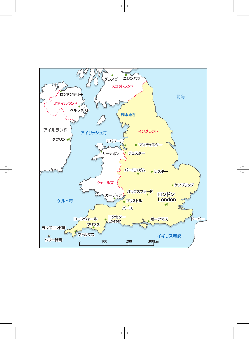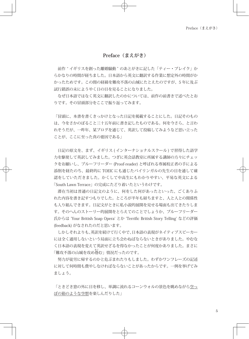#### **Preface(まえがき)**

前作 " イギリスを創った離婚騒動 " のあとがきに記した「ティー・ブレイク」か らかなりの時間が経ちました。日本語から英文に翻訳する作業に想定外の時間がか かったためです。この間の経緯を難攻不落の山城にたとえたのですが、5 年に及ぶ 試行錯誤の末にようやく日の目を見ることになりました。

なぜ日本語ではなく英文に翻訳したのかについては、前作の前書きで述べたとお りです。その冒頭部分をここで振り返ってみます。

「冒頭に、本書を書くきっかけとなった日記を掲載することにした。日記そのもの は、今をさかのぼること三十五年前に書き記したものである。何を今さら、と言わ れそうだが、一昨年、某ブログを通じて、英訳して投稿してみようなど思い立った ことが、ここに至った真の要因である」

日記の原文を、まず、イギリス (インターナショナルスクール) で習得した語学 力を駆使して英訳してみました。つぎに英会話教室に所属する講師の方々にチェッ クをお願いし、プルーフリーダー (Proof-reader) と呼ばれる専属校正者の手による 添削を経たのち、最終的に TOEIC にも通じたバイリンガルの先生の目を通して確 認をしていただきました。かくして中高生にもわかりやすい、平易な英文による 「South Lawn Terrace」の完成にたどり着いたというわけです。

滞在当初は普通の日記文のように、何をした何があったといった、ごくありふ れた内容を書き記すつもりでした。ところが半年も経ちますと、人と人との関係性 も入り組んできます。日記文がときに私小説的展開を見せる場面も出てきたりしま す。そのへんのストーリー的展開をとらえてのことでしょうか、プルーフリーダー 氏からは 'Your British Soap Opera' とか 'Terrific British Story Telling' などの評価 (feedback) がなされたのだと思います。

しかしそれよりも、英訳を続けて行く中で、日本語の表現がネイティブスピーカー には全く通用しないという局面に立ち会わねばならないときがありました。やむな く日本語の表現を変えて英訳せざるを得なかったことが何度かありました。まさに 「難攻不落の山城を攻め倦 あぐ む」情況だったのです。

努力が徒労に帰するのかと危ぶまれたりもしました。わずかワンフレーズの記述 に対して何時間も費やしなければならないことがあったからです。一例を挙げてみ ましょう。

「ときどき窓の外に目を移し、単調に流れるコーンウォルの景色を眺めながら空っ ぽの箱のような空想を楽しんだりした」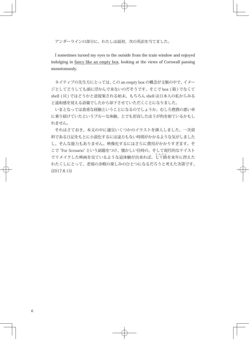アンダーラインの部分に、わたしは最初、次の英訳を当てました。

I sometimes turned my eyes to the outside from the train window and enjoyed indulging in fancy like an empty box, looking at the views of Cornwall passing monotonously.

ネイティブの先生方にとっては、この an empty box の概念が文脈の中で、イメー ジとしてどうしても頭に浮かんで来ないのだそうです。そこで box (箱) でなくて shell (貝) ではどうかと逆提案される始末、もちろん shell は日本人の私からみる と違和感を覚える語彙でしたから却下させていただくことになりました。

いまとなっては貴重な経験ということになるのでしょうか。むしろ燃費の悪い車 に乗り続けていたというブルーな体験、とでも形容したほうが的を射ているかもし れません。

それはさておき、本文の中に適宜いくつかのイラストを挿入しました。一次資 料である日記をもとに小説化するには途方もない時間がかかるような気がしました し、そんな能力もありません。映像化するにはさらに費用がかかりすぎます。そ こで "For Scenario" という副題をつけ、懐かしい往時の、そして現代的なテイスト でリメイクした映画を見ているような追体験が出来れば、七 ななそじ 十路を来年に控えた わたくしにとって、老境の余暇の楽しみのひとつになるだろうと考えた次第です。 (2017.8.15)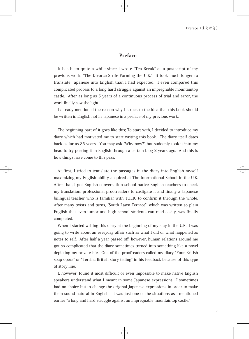#### Preface

It has been quite a while since I wrote "Tea Break" as a postscript of my previous work, "The Divorce Strife Forming the U.K." It took much longer to translate Japanese into English than I had expected. I even compared this complicated process to a long hard struggle against an impregnable mountaintop castle. After as long as 5 years of a continuous process of trial and error, the work finally saw the light.

I already mentioned the reason why I struck to the idea that this book should be written in English not in Japanese in a preface of my previous work.

The beginning part of it goes like this; To start with, I decided to introduce my diary which had motivated me to start writing this book. The diary itself dates back as far as 35 years. You may ask "Why now?" but suddenly took it into my head to try posting it in English through a certain blog 2 years ago. And this is how things have come to this pass.

At first, I tried to translate the passages in the diary into English myself maximizing my English ability acquired at The International School in the U.K. After that, I got English conversation school native English teachers to check my translation, professional proofreaders to castigate it and finally a Japanese bilingual teacher who is familiar with TOEIC to confirm it through the whole. After many twists and turns, "South Lawn Terrace", which was written so plain English that even junior and high school students can read easily, was finally completed.

When I started writing this diary at the beginning of my stay in the U.K., I was going to write about an everyday affair such as what I did or what happened as notes to self. After half a year passed off, however, human relations around me got so complicated that the diary sometimes turned into something like a novel depicting my private life. One of the proofreaders called my diary "Your British soap opera" or "Terrific British story telling" in his feedback because of this type of story line.

I, however, found it most difficult or even impossible to make native English speakers understand what I meant in some Japanese expressions. I sometimes had no choice but to change the original Japanese expressions in order to make them sound natural in English. It was just one of the situations as I mentioned earlier "a long and hard struggle against an impregnable mountaintop castle."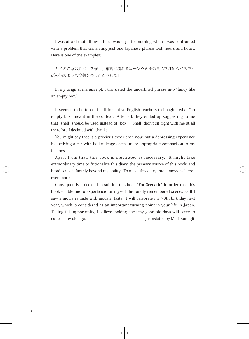I was afraid that all my efforts would go for nothing when I was confronted with a problem that translating just one Japanese phrase took hours and hours. Here is one of the examples;

「ときどき窓の外に目を移し、単調に流れるコーンウォルの景色を眺めながら空っ ぽの箱のような空想を楽しんだりした」

In my original manuscript, I translated the underlined phrase into "fancy like an empty box."

It seemed to be too difficult for native English teachers to imagine what "an empty box" meant in the context. After all, they ended up suggesting to me that "shell" should be used instead of "box." "Shell" didn't sit right with me at all therefore I declined with thanks.

You might say that is a precious experience now, but a depressing experience like driving a car with bad mileage seems more appropriate comparison to my feelings.

Apart from that, this book is illustrated as necessary. It might take extraordinary time to fictionalize this diary, the primary source of this book; and besides it's definitely beyond my ability. To make this diary into a movie will cost even more.

Consequently, I decided to subtitle this book "For Scenario" in order that this book enable me to experience for myself the fondly-remembered scenes as if I saw a movie remade with modern taste. I will celebrate my 70th birthday next year, which is considered as an important turning point in your life in Japan. Taking this opportunity, I believe looking back my good old days will serve to console my old age. The console my old age. Translated by Mari Kunugi)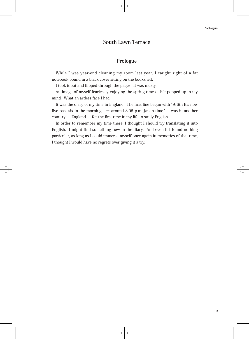#### **South Lawn Terrace**

#### **Prologue**

While I was year-end cleaning my room last year, I caught sight of a fat notebook bound in a black cover sitting on the bookshelf.

I took it out and flipped through the pages. It was musty.

An image of myself fearlessly enjoying the spring time of life popped up in my mind. What an artless face I had!

It was the diary of my time in England. The first line began with "9/6th It's now five past six in the morning  $-$  around 3:05 p.m. Japan time." I was in another  $country - England - for the first time in my life to study English.$ 

In order to remember my time there, I thought I should try translating it into English. I might find something new in the diary. And even if I found nothing particular, as long as I could immerse myself once again in memories of that time, I thought I would have no regrets over giving it a try.